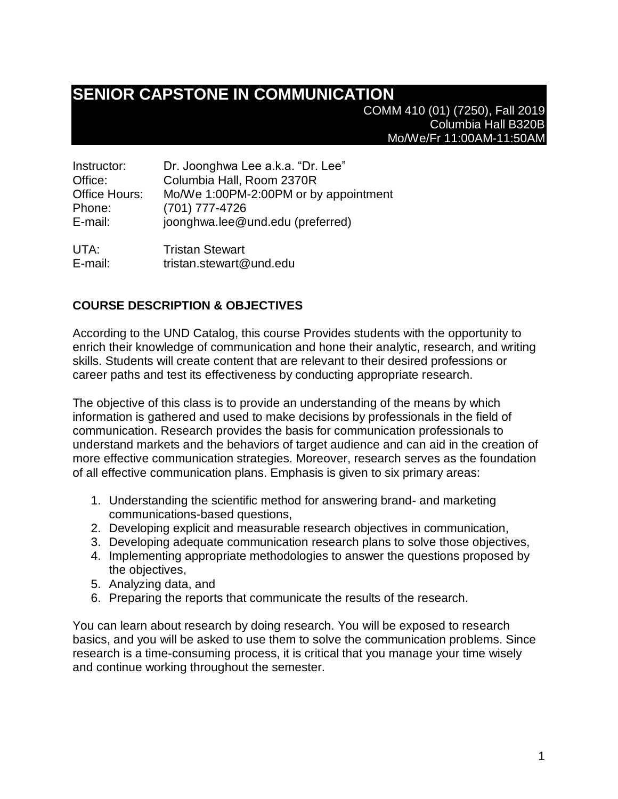# **SENIOR CAPSTONE IN COMMUNICATION**

COMM 410 (01) (7250), Fall 2019 Columbia Hall B320B Mo/We/Fr 11:00AM-11:50AM

| Instructor:          | Dr. Joonghwa Lee a.k.a. "Dr. Lee"     |
|----------------------|---------------------------------------|
| Office:              | Columbia Hall, Room 2370R             |
| <b>Office Hours:</b> | Mo/We 1:00PM-2:00PM or by appointment |
| Phone:               | (701) 777-4726                        |
| E-mail:              | joonghwa.lee@und.edu (preferred)      |
|                      |                                       |

UTA: Tristan Stewart E-mail: tristan.stewart@und.edu

# **COURSE DESCRIPTION & OBJECTIVES**

According to the UND Catalog, this course Provides students with the opportunity to enrich their knowledge of communication and hone their analytic, research, and writing skills. Students will create content that are relevant to their desired professions or career paths and test its effectiveness by conducting appropriate research.

The objective of this class is to provide an understanding of the means by which information is gathered and used to make decisions by professionals in the field of communication. Research provides the basis for communication professionals to understand markets and the behaviors of target audience and can aid in the creation of more effective communication strategies. Moreover, research serves as the foundation of all effective communication plans. Emphasis is given to six primary areas:

- 1. Understanding the scientific method for answering brand- and marketing communications-based questions,
- 2. Developing explicit and measurable research objectives in communication,
- 3. Developing adequate communication research plans to solve those objectives,
- 4. Implementing appropriate methodologies to answer the questions proposed by the objectives,
- 5. Analyzing data, and
- 6. Preparing the reports that communicate the results of the research.

You can learn about research by doing research. You will be exposed to research basics, and you will be asked to use them to solve the communication problems. Since research is a time-consuming process, it is critical that you manage your time wisely and continue working throughout the semester.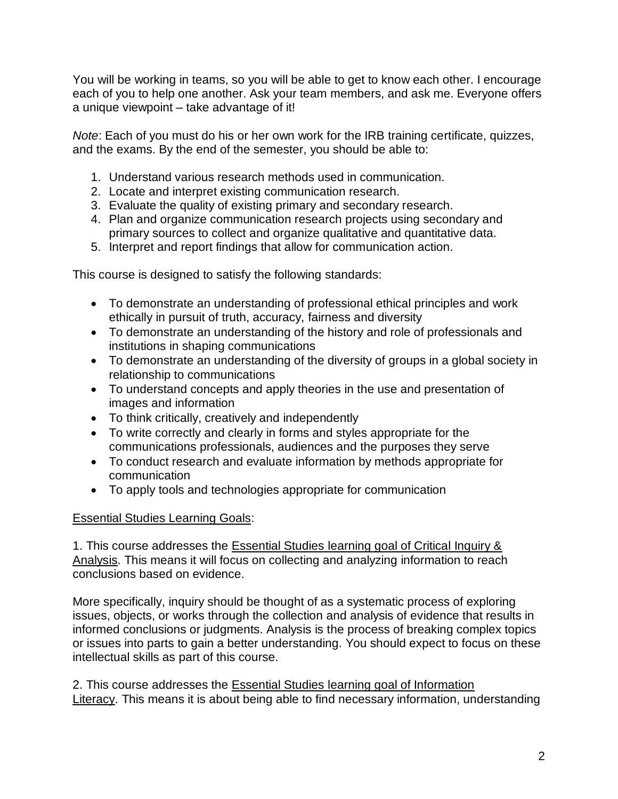You will be working in teams, so you will be able to get to know each other. I encourage each of you to help one another. Ask your team members, and ask me. Everyone offers a unique viewpoint – take advantage of it!

*Note*: Each of you must do his or her own work for the IRB training certificate, quizzes, and the exams. By the end of the semester, you should be able to:

- 1. Understand various research methods used in communication.
- 2. Locate and interpret existing communication research.
- 3. Evaluate the quality of existing primary and secondary research.
- 4. Plan and organize communication research projects using secondary and primary sources to collect and organize qualitative and quantitative data.
- 5. Interpret and report findings that allow for communication action.

This course is designed to satisfy the following standards:

- To demonstrate an understanding of professional ethical principles and work ethically in pursuit of truth, accuracy, fairness and diversity
- To demonstrate an understanding of the history and role of professionals and institutions in shaping communications
- To demonstrate an understanding of the diversity of groups in a global society in relationship to communications
- To understand concepts and apply theories in the use and presentation of images and information
- To think critically, creatively and independently
- To write correctly and clearly in forms and styles appropriate for the communications professionals, audiences and the purposes they serve
- To conduct research and evaluate information by methods appropriate for communication
- To apply tools and technologies appropriate for communication

# Essential Studies Learning Goals:

1. This course addresses the Essential Studies learning goal of Critical Inquiry & Analysis. This means it will focus on collecting and analyzing information to reach conclusions based on evidence.

More specifically, inquiry should be thought of as a systematic process of exploring issues, objects, or works through the collection and analysis of evidence that results in informed conclusions or judgments. Analysis is the process of breaking complex topics or issues into parts to gain a better understanding. You should expect to focus on these intellectual skills as part of this course.

2. This course addresses the Essential Studies learning goal of Information Literacy. This means it is about being able to find necessary information, understanding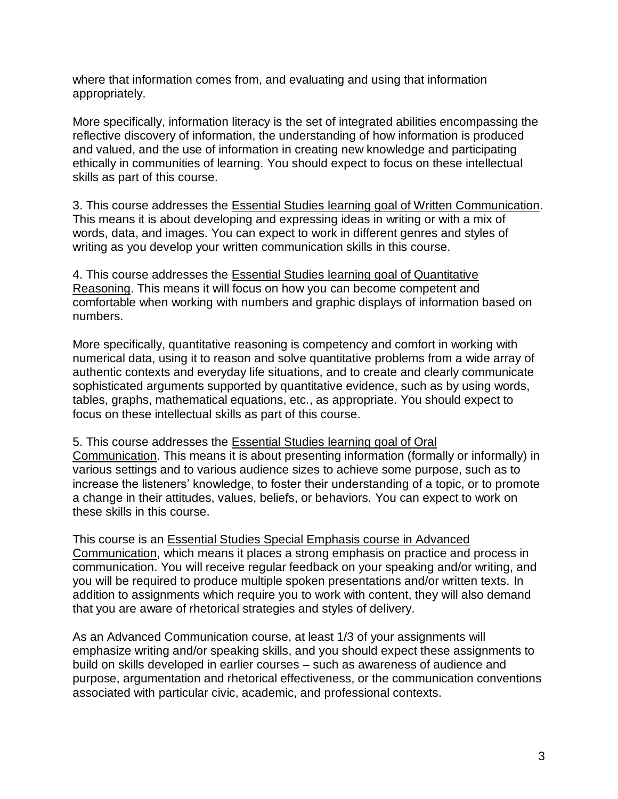where that information comes from, and evaluating and using that information appropriately.

More specifically, information literacy is the set of integrated abilities encompassing the reflective discovery of information, the understanding of how information is produced and valued, and the use of information in creating new knowledge and participating ethically in communities of learning. You should expect to focus on these intellectual skills as part of this course.

3. This course addresses the Essential Studies learning goal of Written Communication. This means it is about developing and expressing ideas in writing or with a mix of words, data, and images. You can expect to work in different genres and styles of writing as you develop your written communication skills in this course.

4. This course addresses the Essential Studies learning goal of Quantitative Reasoning. This means it will focus on how you can become competent and comfortable when working with numbers and graphic displays of information based on numbers.

More specifically, quantitative reasoning is competency and comfort in working with numerical data, using it to reason and solve quantitative problems from a wide array of authentic contexts and everyday life situations, and to create and clearly communicate sophisticated arguments supported by quantitative evidence, such as by using words, tables, graphs, mathematical equations, etc., as appropriate. You should expect to focus on these intellectual skills as part of this course.

5. This course addresses the Essential Studies learning goal of Oral

Communication. This means it is about presenting information (formally or informally) in various settings and to various audience sizes to achieve some purpose, such as to increase the listeners' knowledge, to foster their understanding of a topic, or to promote a change in their attitudes, values, beliefs, or behaviors. You can expect to work on these skills in this course.

This course is an Essential Studies Special Emphasis course in Advanced Communication, which means it places a strong emphasis on practice and process in communication. You will receive regular feedback on your speaking and/or writing, and you will be required to produce multiple spoken presentations and/or written texts. In addition to assignments which require you to work with content, they will also demand that you are aware of rhetorical strategies and styles of delivery.

As an Advanced Communication course, at least 1/3 of your assignments will emphasize writing and/or speaking skills, and you should expect these assignments to build on skills developed in earlier courses – such as awareness of audience and purpose, argumentation and rhetorical effectiveness, or the communication conventions associated with particular civic, academic, and professional contexts.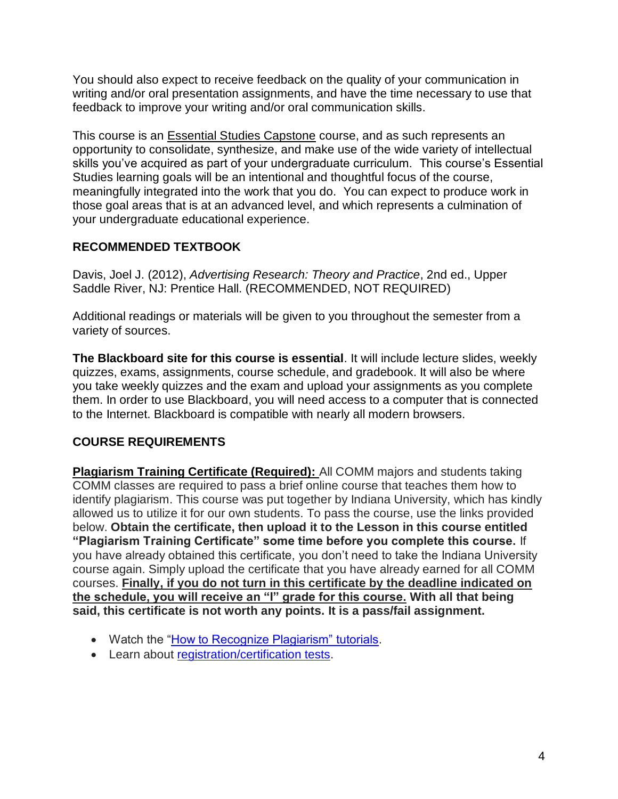You should also expect to receive feedback on the quality of your communication in writing and/or oral presentation assignments, and have the time necessary to use that feedback to improve your writing and/or oral communication skills.

This course is an Essential Studies Capstone course, and as such represents an opportunity to consolidate, synthesize, and make use of the wide variety of intellectual skills you've acquired as part of your undergraduate curriculum. This course's Essential Studies learning goals will be an intentional and thoughtful focus of the course, meaningfully integrated into the work that you do. You can expect to produce work in those goal areas that is at an advanced level, and which represents a culmination of your undergraduate educational experience.

# **RECOMMENDED TEXTBOOK**

Davis, Joel J. (2012), *Advertising Research: Theory and Practice*, 2nd ed., Upper Saddle River, NJ: Prentice Hall. (RECOMMENDED, NOT REQUIRED)

Additional readings or materials will be given to you throughout the semester from a variety of sources.

**The Blackboard site for this course is essential**. It will include lecture slides, weekly quizzes, exams, assignments, course schedule, and gradebook. It will also be where you take weekly quizzes and the exam and upload your assignments as you complete them. In order to use Blackboard, you will need access to a computer that is connected to the Internet. Blackboard is compatible with nearly all modern browsers.

# **COURSE REQUIREMENTS**

**Plagiarism Training Certificate (Required):** All COMM majors and students taking COMM classes are required to pass a brief online course that teaches them how to identify plagiarism. This course was put together by Indiana University, which has kindly allowed us to utilize it for our own students. To pass the course, use the links provided below. **Obtain the certificate, then upload it to the Lesson in this course entitled "Plagiarism Training Certificate" some time before you complete this course.** If you have already obtained this certificate, you don't need to take the Indiana University course again. Simply upload the certificate that you have already earned for all COMM courses. **Finally, if you do not turn in this certificate by the deadline indicated on the schedule, you will receive an "I" grade for this course. With all that being said, this certificate is not worth any points. It is a pass/fail assignment.**

- Watch the ["How to Recognize Plagiarism" tutorials.](https://www.indiana.edu/~academy/firstPrinciples/index.html)
- Learn about [registration/certification tests.](https://www.indiana.edu/~academy/firstPrinciples/certificationTests/index.html)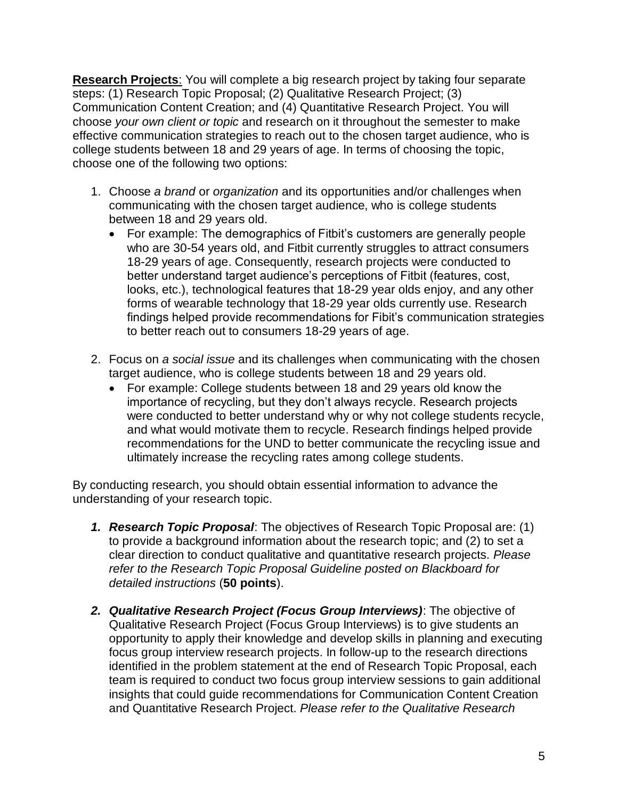**Research Projects**: You will complete a big research project by taking four separate steps: (1) Research Topic Proposal; (2) Qualitative Research Project; (3) Communication Content Creation; and (4) Quantitative Research Project. You will choose *your own client or topic* and research on it throughout the semester to make effective communication strategies to reach out to the chosen target audience, who is college students between 18 and 29 years of age. In terms of choosing the topic, choose one of the following two options:

- 1. Choose *a brand* or *organization* and its opportunities and/or challenges when communicating with the chosen target audience, who is college students between 18 and 29 years old.
	- For example: The demographics of Fitbit's customers are generally people who are 30-54 years old, and Fitbit currently struggles to attract consumers 18-29 years of age. Consequently, research projects were conducted to better understand target audience's perceptions of Fitbit (features, cost, looks, etc.), technological features that 18-29 year olds enjoy, and any other forms of wearable technology that 18-29 year olds currently use. Research findings helped provide recommendations for Fibit's communication strategies to better reach out to consumers 18-29 years of age.
- 2. Focus on *a social issue* and its challenges when communicating with the chosen target audience, who is college students between 18 and 29 years old.
	- For example: College students between 18 and 29 years old know the importance of recycling, but they don't always recycle. Research projects were conducted to better understand why or why not college students recycle, and what would motivate them to recycle. Research findings helped provide recommendations for the UND to better communicate the recycling issue and ultimately increase the recycling rates among college students.

By conducting research, you should obtain essential information to advance the understanding of your research topic.

- *1. Research Topic Proposal*: The objectives of Research Topic Proposal are: (1) to provide a background information about the research topic; and (2) to set a clear direction to conduct qualitative and quantitative research projects. *Please refer to the Research Topic Proposal Guideline posted on Blackboard for detailed instructions* (**50 points**).
- *2. Qualitative Research Project (Focus Group Interviews)*: The objective of Qualitative Research Project (Focus Group Interviews) is to give students an opportunity to apply their knowledge and develop skills in planning and executing focus group interview research projects. In follow-up to the research directions identified in the problem statement at the end of Research Topic Proposal, each team is required to conduct two focus group interview sessions to gain additional insights that could guide recommendations for Communication Content Creation and Quantitative Research Project. *Please refer to the Qualitative Research*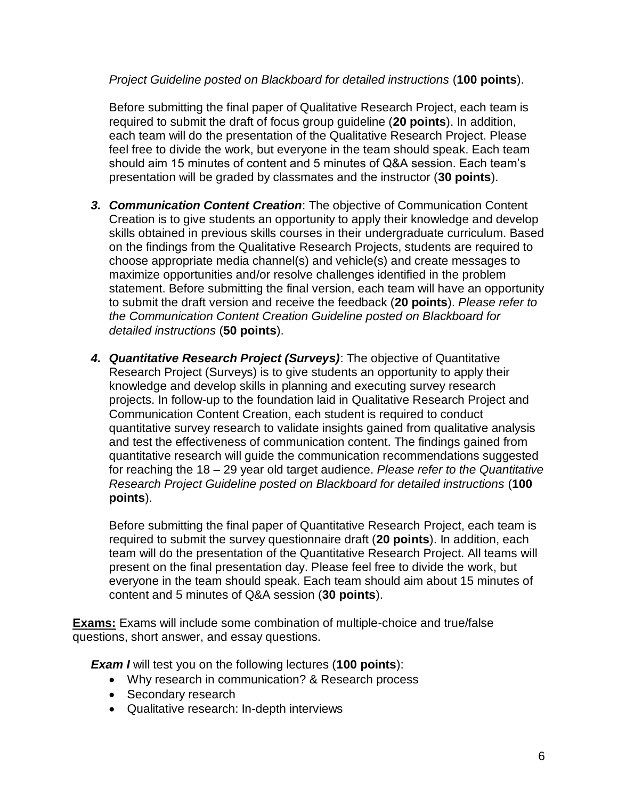#### *Project Guideline posted on Blackboard for detailed instructions* (**100 points**).

Before submitting the final paper of Qualitative Research Project, each team is required to submit the draft of focus group guideline (**20 points**). In addition, each team will do the presentation of the Qualitative Research Project. Please feel free to divide the work, but everyone in the team should speak. Each team should aim 15 minutes of content and 5 minutes of Q&A session. Each team's presentation will be graded by classmates and the instructor (**30 points**).

- *3. Communication Content Creation*: The objective of Communication Content Creation is to give students an opportunity to apply their knowledge and develop skills obtained in previous skills courses in their undergraduate curriculum. Based on the findings from the Qualitative Research Projects, students are required to choose appropriate media channel(s) and vehicle(s) and create messages to maximize opportunities and/or resolve challenges identified in the problem statement. Before submitting the final version, each team will have an opportunity to submit the draft version and receive the feedback (**20 points**). *Please refer to the Communication Content Creation Guideline posted on Blackboard for detailed instructions* (**50 points**).
- *4. Quantitative Research Project (Surveys)*: The objective of Quantitative Research Project (Surveys) is to give students an opportunity to apply their knowledge and develop skills in planning and executing survey research projects. In follow-up to the foundation laid in Qualitative Research Project and Communication Content Creation, each student is required to conduct quantitative survey research to validate insights gained from qualitative analysis and test the effectiveness of communication content. The findings gained from quantitative research will guide the communication recommendations suggested for reaching the 18 – 29 year old target audience. *Please refer to the Quantitative Research Project Guideline posted on Blackboard for detailed instructions* (**100 points**).

Before submitting the final paper of Quantitative Research Project, each team is required to submit the survey questionnaire draft (**20 points**). In addition, each team will do the presentation of the Quantitative Research Project. All teams will present on the final presentation day. Please feel free to divide the work, but everyone in the team should speak. Each team should aim about 15 minutes of content and 5 minutes of Q&A session (**30 points**).

**Exams:** Exams will include some combination of multiple-choice and true/false questions, short answer, and essay questions.

*Exam I* will test you on the following lectures (**100 points**):

- Why research in communication? & Research process
- Secondary research
- Qualitative research: In-depth interviews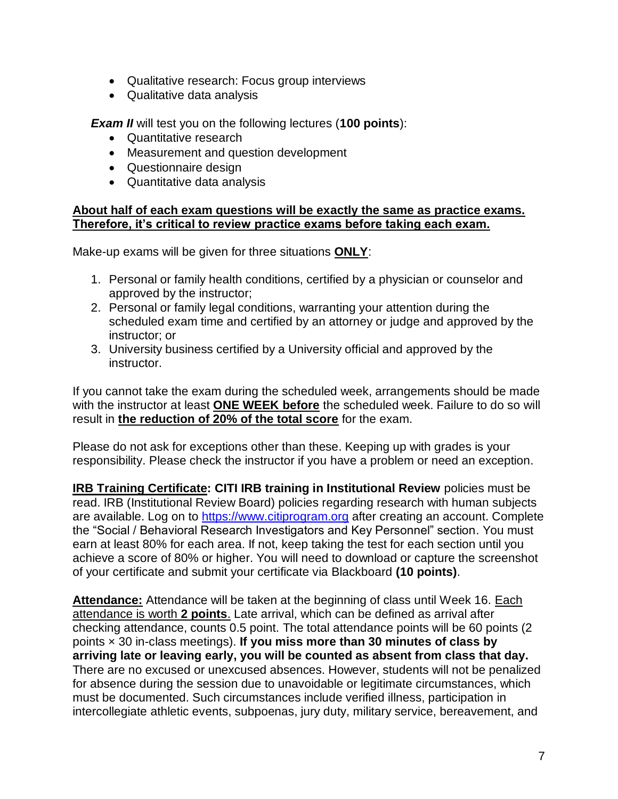- Qualitative research: Focus group interviews
- Qualitative data analysis

*Exam II* will test you on the following lectures (**100 points**):

- Quantitative research
- Measurement and question development
- Questionnaire design
- Quantitative data analysis

#### **About half of each exam questions will be exactly the same as practice exams. Therefore, it's critical to review practice exams before taking each exam.**

Make-up exams will be given for three situations **ONLY**:

- 1. Personal or family health conditions, certified by a physician or counselor and approved by the instructor;
- 2. Personal or family legal conditions, warranting your attention during the scheduled exam time and certified by an attorney or judge and approved by the instructor; or
- 3. University business certified by a University official and approved by the instructor.

If you cannot take the exam during the scheduled week, arrangements should be made with the instructor at least **ONE WEEK before** the scheduled week. Failure to do so will result in **the reduction of 20% of the total score** for the exam.

Please do not ask for exceptions other than these. Keeping up with grades is your responsibility. Please check the instructor if you have a problem or need an exception.

**IRB Training Certificate: CITI IRB training in Institutional Review** policies must be read. IRB (Institutional Review Board) policies regarding research with human subjects are available. Log on to [https://www.citiprogram.org](https://www.citiprogram.org/) after creating an account. Complete the "Social / Behavioral Research Investigators and Key Personnel" section. You must earn at least 80% for each area. If not, keep taking the test for each section until you achieve a score of 80% or higher. You will need to download or capture the screenshot of your certificate and submit your certificate via Blackboard **(10 points)**.

**Attendance:** Attendance will be taken at the beginning of class until Week 16. Each attendance is worth **2 points**. Late arrival, which can be defined as arrival after checking attendance, counts 0.5 point. The total attendance points will be 60 points (2 points × 30 in-class meetings). **If you miss more than 30 minutes of class by arriving late or leaving early, you will be counted as absent from class that day.** There are no excused or unexcused absences. However, students will not be penalized for absence during the session due to unavoidable or legitimate circumstances, which must be documented. Such circumstances include verified illness, participation in intercollegiate athletic events, subpoenas, jury duty, military service, bereavement, and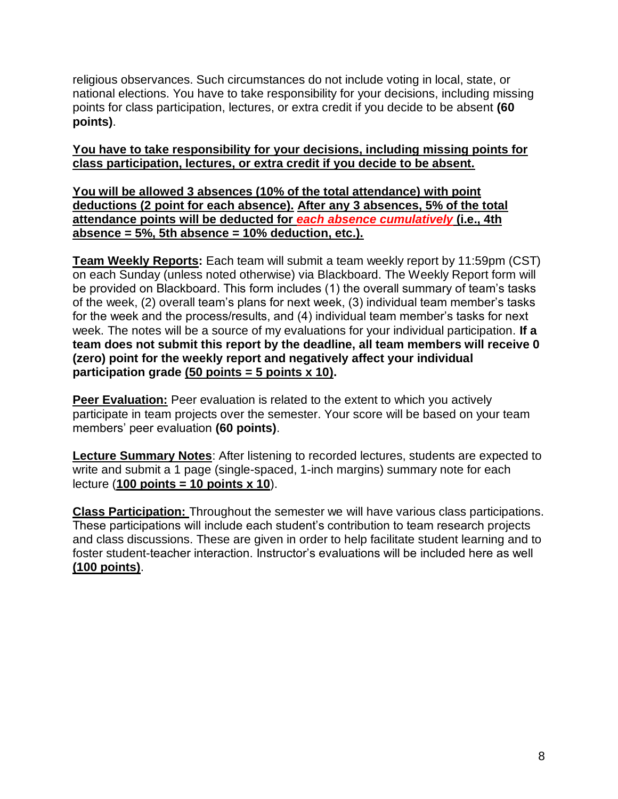religious observances. Such circumstances do not include voting in local, state, or national elections. You have to take responsibility for your decisions, including missing points for class participation, lectures, or extra credit if you decide to be absent **(60 points)**.

#### **You have to take responsibility for your decisions, including missing points for class participation, lectures, or extra credit if you decide to be absent.**

**You will be allowed 3 absences (10% of the total attendance) with point deductions (2 point for each absence). After any 3 absences, 5% of the total attendance points will be deducted for** *each absence cumulatively* **(i.e., 4th absence = 5%, 5th absence = 10% deduction, etc.).**

**Team Weekly Reports:** Each team will submit a team weekly report by 11:59pm (CST) on each Sunday (unless noted otherwise) via Blackboard. The Weekly Report form will be provided on Blackboard. This form includes (1) the overall summary of team's tasks of the week, (2) overall team's plans for next week, (3) individual team member's tasks for the week and the process/results, and (4) individual team member's tasks for next week. The notes will be a source of my evaluations for your individual participation. **If a team does not submit this report by the deadline, all team members will receive 0 (zero) point for the weekly report and negatively affect your individual participation grade (50 points = 5 points x 10).**

**Peer Evaluation:** Peer evaluation is related to the extent to which you actively participate in team projects over the semester. Your score will be based on your team members' peer evaluation **(60 points)**.

**Lecture Summary Notes**: After listening to recorded lectures, students are expected to write and submit a 1 page (single-spaced, 1-inch margins) summary note for each lecture (**100 points = 10 points x 10**).

**Class Participation:** Throughout the semester we will have various class participations. These participations will include each student's contribution to team research projects and class discussions. These are given in order to help facilitate student learning and to foster student-teacher interaction. Instructor's evaluations will be included here as well **(100 points)**.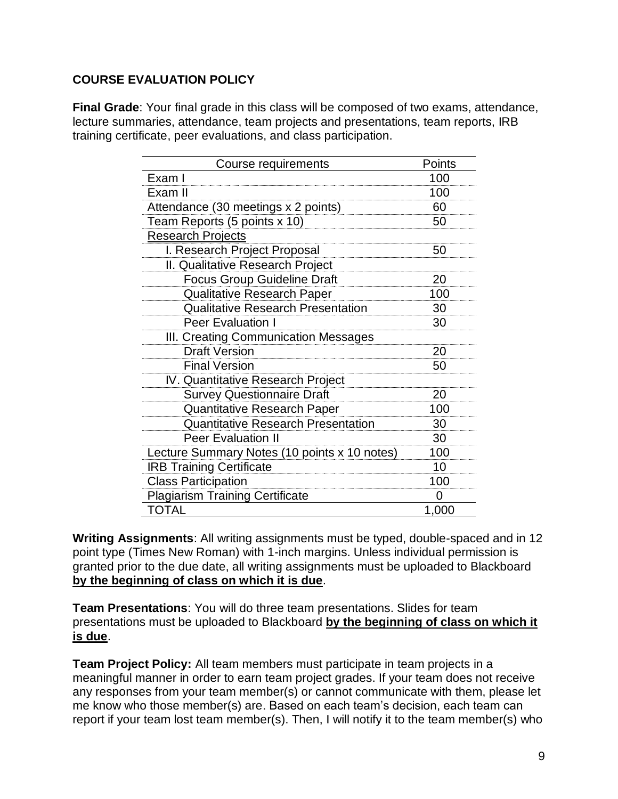## **COURSE EVALUATION POLICY**

**Final Grade**: Your final grade in this class will be composed of two exams, attendance, lecture summaries, attendance, team projects and presentations, team reports, IRB training certificate, peer evaluations, and class participation.

| Course requirements                          | Points |
|----------------------------------------------|--------|
| Exam I                                       | 100    |
| Exam II                                      | 100    |
| Attendance (30 meetings x 2 points)          | 60     |
| Team Reports (5 points x 10)                 | 50     |
| <b>Research Projects</b>                     |        |
| I. Research Project Proposal                 | 50     |
| II. Qualitative Research Project             |        |
| <b>Focus Group Guideline Draft</b>           | 20     |
| <b>Qualitative Research Paper</b>            | 100    |
| <b>Qualitative Research Presentation</b>     | 30     |
| Peer Evaluation I                            | 30     |
| III. Creating Communication Messages         |        |
| <b>Draft Version</b>                         | 20     |
| <b>Final Version</b>                         | 50     |
| IV. Quantitative Research Project            |        |
| <b>Survey Questionnaire Draft</b>            | 20     |
| <b>Quantitative Research Paper</b>           | 100    |
| <b>Quantitative Research Presentation</b>    | 30     |
| <b>Peer Evaluation II</b>                    | 30     |
| Lecture Summary Notes (10 points x 10 notes) | 100    |
| <b>IRB Training Certificate</b>              | 10     |
| <b>Class Participation</b>                   | 100    |
| <b>Plagiarism Training Certificate</b>       | 0      |
| TOTAL                                        | 1,000  |

**Writing Assignments**: All writing assignments must be typed, double-spaced and in 12 point type (Times New Roman) with 1-inch margins. Unless individual permission is granted prior to the due date, all writing assignments must be uploaded to Blackboard **by the beginning of class on which it is due**.

**Team Presentations**: You will do three team presentations. Slides for team presentations must be uploaded to Blackboard **by the beginning of class on which it is due**.

**Team Project Policy:** All team members must participate in team projects in a meaningful manner in order to earn team project grades. If your team does not receive any responses from your team member(s) or cannot communicate with them, please let me know who those member(s) are. Based on each team's decision, each team can report if your team lost team member(s). Then, I will notify it to the team member(s) who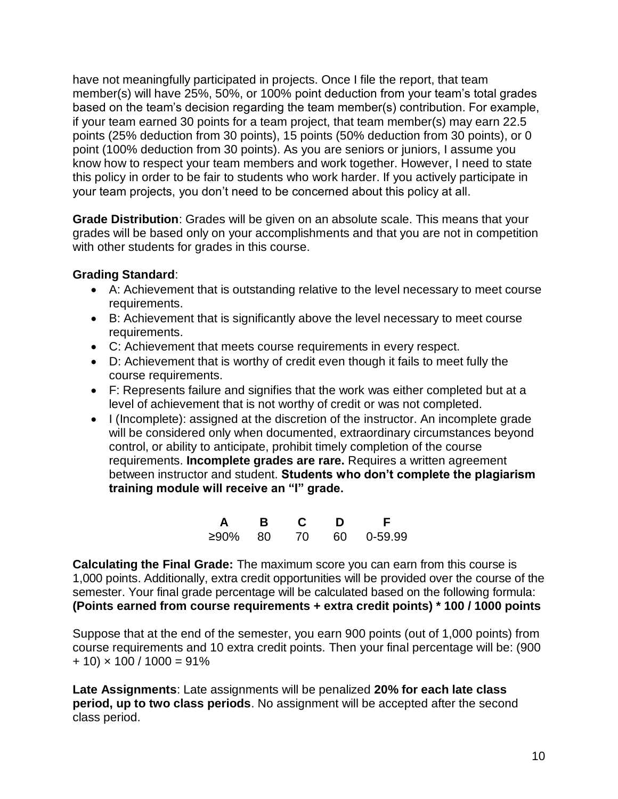have not meaningfully participated in projects. Once I file the report, that team member(s) will have 25%, 50%, or 100% point deduction from your team's total grades based on the team's decision regarding the team member(s) contribution. For example, if your team earned 30 points for a team project, that team member(s) may earn 22.5 points (25% deduction from 30 points), 15 points (50% deduction from 30 points), or 0 point (100% deduction from 30 points). As you are seniors or juniors, I assume you know how to respect your team members and work together. However, I need to state this policy in order to be fair to students who work harder. If you actively participate in your team projects, you don't need to be concerned about this policy at all.

**Grade Distribution**: Grades will be given on an absolute scale. This means that your grades will be based only on your accomplishments and that you are not in competition with other students for grades in this course.

#### **Grading Standard**:

- A: Achievement that is outstanding relative to the level necessary to meet course requirements.
- B: Achievement that is significantly above the level necessary to meet course requirements.
- C: Achievement that meets course requirements in every respect.
- D: Achievement that is worthy of credit even though it fails to meet fully the course requirements.
- F: Represents failure and signifies that the work was either completed but at a level of achievement that is not worthy of credit or was not completed.
- I (Incomplete): assigned at the discretion of the instructor. An incomplete grade will be considered only when documented, extraordinary circumstances beyond control, or ability to anticipate, prohibit timely completion of the course requirements. **Incomplete grades are rare.** Requires a written agreement between instructor and student. **Students who don't complete the plagiarism training module will receive an "I" grade.**

| A          | B. | C. | D | - F -      |
|------------|----|----|---|------------|
| $≥90\%$ 80 |    | 70 |   | 60 0-59.99 |

**Calculating the Final Grade:** The maximum score you can earn from this course is 1,000 points. Additionally, extra credit opportunities will be provided over the course of the semester. Your final grade percentage will be calculated based on the following formula: **(Points earned from course requirements + extra credit points) \* 100 / 1000 points**

Suppose that at the end of the semester, you earn 900 points (out of 1,000 points) from course requirements and 10 extra credit points. Then your final percentage will be: (900  $+ 10 \times 100 / 1000 = 91\%$ 

**Late Assignments**: Late assignments will be penalized **20% for each late class period, up to two class periods**. No assignment will be accepted after the second class period.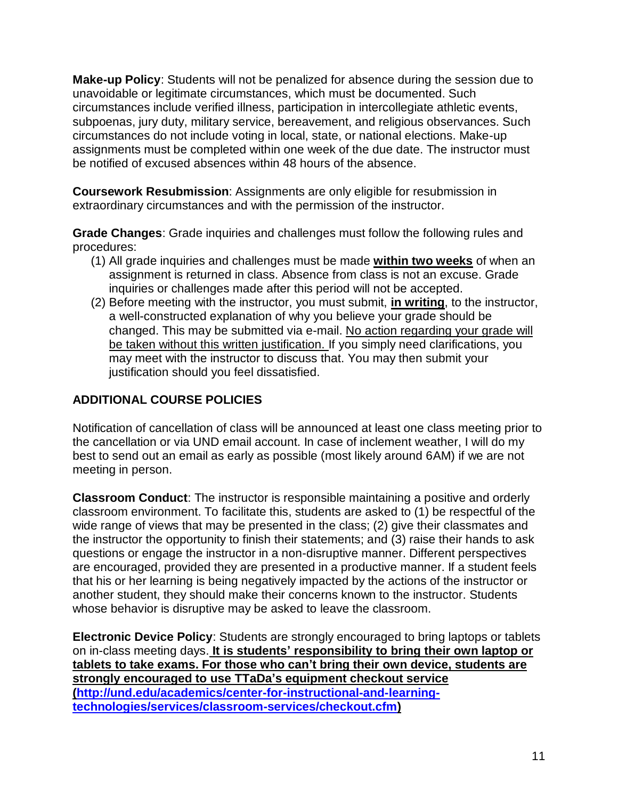**Make-up Policy**: Students will not be penalized for absence during the session due to unavoidable or legitimate circumstances, which must be documented. Such circumstances include verified illness, participation in intercollegiate athletic events, subpoenas, jury duty, military service, bereavement, and religious observances. Such circumstances do not include voting in local, state, or national elections. Make-up assignments must be completed within one week of the due date. The instructor must be notified of excused absences within 48 hours of the absence.

**Coursework Resubmission**: Assignments are only eligible for resubmission in extraordinary circumstances and with the permission of the instructor.

**Grade Changes**: Grade inquiries and challenges must follow the following rules and procedures:

- (1) All grade inquiries and challenges must be made **within two weeks** of when an assignment is returned in class. Absence from class is not an excuse. Grade inquiries or challenges made after this period will not be accepted.
- (2) Before meeting with the instructor, you must submit, **in writing**, to the instructor, a well-constructed explanation of why you believe your grade should be changed. This may be submitted via e-mail. No action regarding your grade will be taken without this written justification. If you simply need clarifications, you may meet with the instructor to discuss that. You may then submit your justification should you feel dissatisfied.

# **ADDITIONAL COURSE POLICIES**

Notification of cancellation of class will be announced at least one class meeting prior to the cancellation or via UND email account. In case of inclement weather, I will do my best to send out an email as early as possible (most likely around 6AM) if we are not meeting in person.

**Classroom Conduct**: The instructor is responsible maintaining a positive and orderly classroom environment. To facilitate this, students are asked to (1) be respectful of the wide range of views that may be presented in the class; (2) give their classmates and the instructor the opportunity to finish their statements; and (3) raise their hands to ask questions or engage the instructor in a non-disruptive manner. Different perspectives are encouraged, provided they are presented in a productive manner. If a student feels that his or her learning is being negatively impacted by the actions of the instructor or another student, they should make their concerns known to the instructor. Students whose behavior is disruptive may be asked to leave the classroom.

**Electronic Device Policy**: Students are strongly encouraged to bring laptops or tablets on in-class meeting days. **It is students' responsibility to bring their own laptop or tablets to take exams. For those who can't bring their own device, students are strongly encouraged to use TTaDa's equipment checkout service [\(http://und.edu/academics/center-for-instructional-and-learning](http://und.edu/academics/center-for-instructional-and-learning-technologies/services/classroom-services/checkout.cfm))[technologies/services/classroom-services/checkout.cfm\)](http://und.edu/academics/center-for-instructional-and-learning-technologies/services/classroom-services/checkout.cfm))**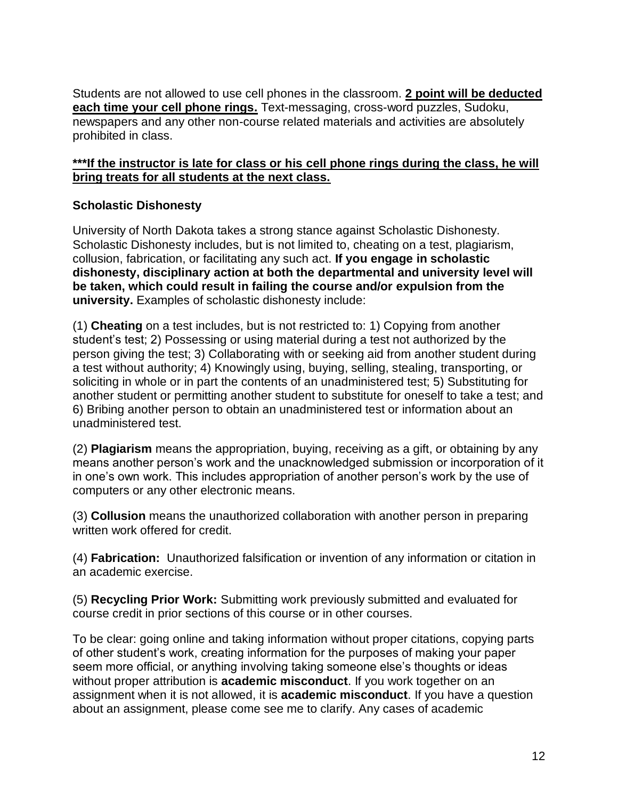Students are not allowed to use cell phones in the classroom. **2 point will be deducted each time your cell phone rings.** Text-messaging, cross-word puzzles, Sudoku, newspapers and any other non-course related materials and activities are absolutely prohibited in class.

## **\*\*\*If the instructor is late for class or his cell phone rings during the class, he will bring treats for all students at the next class.**

# **Scholastic Dishonesty**

University of North Dakota takes a strong stance against Scholastic Dishonesty. Scholastic Dishonesty includes, but is not limited to, cheating on a test, plagiarism, collusion, fabrication, or facilitating any such act. **If you engage in scholastic dishonesty, disciplinary action at both the departmental and university level will be taken, which could result in failing the course and/or expulsion from the university.** Examples of scholastic dishonesty include:

(1) **Cheating** on a test includes, but is not restricted to: 1) Copying from another student's test; 2) Possessing or using material during a test not authorized by the person giving the test; 3) Collaborating with or seeking aid from another student during a test without authority; 4) Knowingly using, buying, selling, stealing, transporting, or soliciting in whole or in part the contents of an unadministered test; 5) Substituting for another student or permitting another student to substitute for oneself to take a test; and 6) Bribing another person to obtain an unadministered test or information about an unadministered test.

(2) **Plagiarism** means the appropriation, buying, receiving as a gift, or obtaining by any means another person's work and the unacknowledged submission or incorporation of it in one's own work. This includes appropriation of another person's work by the use of computers or any other electronic means.

(3) **Collusion** means the unauthorized collaboration with another person in preparing written work offered for credit.

(4) **Fabrication:** Unauthorized falsification or invention of any information or citation in an academic exercise.

(5) **Recycling Prior Work:** Submitting work previously submitted and evaluated for course credit in prior sections of this course or in other courses.

To be clear: going online and taking information without proper citations, copying parts of other student's work, creating information for the purposes of making your paper seem more official, or anything involving taking someone else's thoughts or ideas without proper attribution is **academic misconduct**. If you work together on an assignment when it is not allowed, it is **academic misconduct**. If you have a question about an assignment, please come see me to clarify. Any cases of academic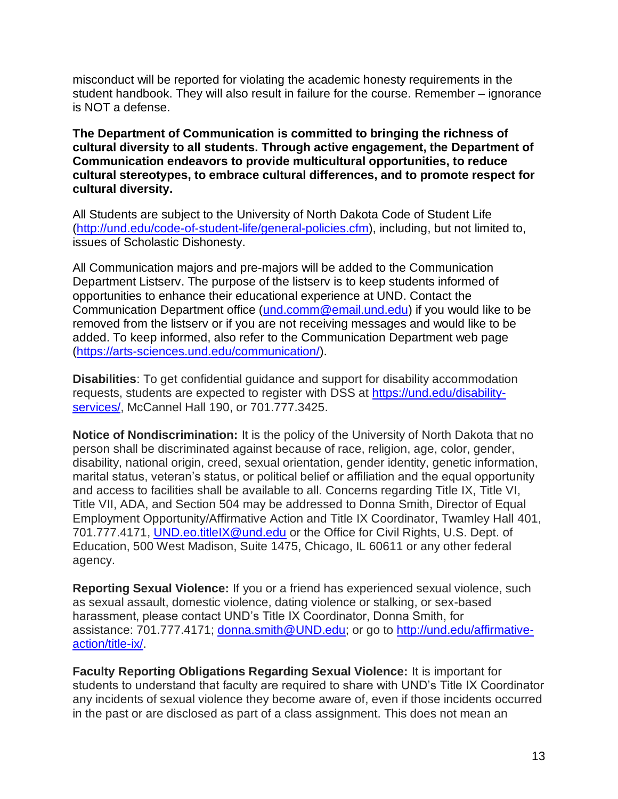misconduct will be reported for violating the academic honesty requirements in the student handbook. They will also result in failure for the course. Remember – ignorance is NOT a defense.

**The Department of Communication is committed to bringing the richness of cultural diversity to all students. Through active engagement, the Department of Communication endeavors to provide multicultural opportunities, to reduce cultural stereotypes, to embrace cultural differences, and to promote respect for cultural diversity.**

All Students are subject to the University of North Dakota Code of Student Life [\(http://und.edu/code-of-student-life/general-policies.cfm\)](http://und.edu/code-of-student-life/general-policies.cfm), including, but not limited to, issues of Scholastic Dishonesty.

All Communication majors and pre-majors will be added to the Communication Department Listserv. The purpose of the listserv is to keep students informed of opportunities to enhance their educational experience at UND. Contact the Communication Department office [\(und.comm@email.und.edu\)](mailto:und.comm@email.und.edu) if you would like to be removed from the listserv or if you are not receiving messages and would like to be added. To keep informed, also refer to the Communication Department web page (https://arts-sciences.und.edu/communication/).

**Disabilities**: To get confidential guidance and support for disability accommodation requests, students are expected to register with DSS at [https://und.edu/disability](https://und.edu/disability-services/)[services/,](https://und.edu/disability-services/) McCannel Hall 190, or 701.777.3425.

**Notice of Nondiscrimination:** It is the policy of the University of North Dakota that no person shall be discriminated against because of race, religion, age, color, gender, disability, national origin, creed, sexual orientation, gender identity, genetic information, marital status, veteran's status, or political belief or affiliation and the equal opportunity and access to facilities shall be available to all. Concerns regarding Title IX, Title VI, Title VII, ADA, and Section 504 may be addressed to Donna Smith, Director of Equal Employment Opportunity/Affirmative Action and Title IX Coordinator, Twamley Hall 401, 701.777.4171, [UND.eo.titleIX@und.edu](mailto:UND.eo.titleIX@und.edu) or the Office for Civil Rights, U.S. Dept. of Education, 500 West Madison, Suite 1475, Chicago, IL 60611 or any other federal agency.

**Reporting Sexual Violence:** If you or a friend has experienced sexual violence, such as sexual assault, domestic violence, dating violence or stalking, or sex-based harassment, please contact UND's Title IX Coordinator, Donna Smith, for assistance: 701.777.4171; [donna.smith@UND.edu;](mailto:donna.smith@UND.edu) or go to [http://und.edu/affirmative](http://und.edu/affirmative-action/title-ix/)[action/title-ix/.](http://und.edu/affirmative-action/title-ix/)

**Faculty Reporting Obligations Regarding Sexual Violence:** It is important for students to understand that faculty are required to share with UND's Title IX Coordinator any incidents of sexual violence they become aware of, even if those incidents occurred in the past or are disclosed as part of a class assignment. This does not mean an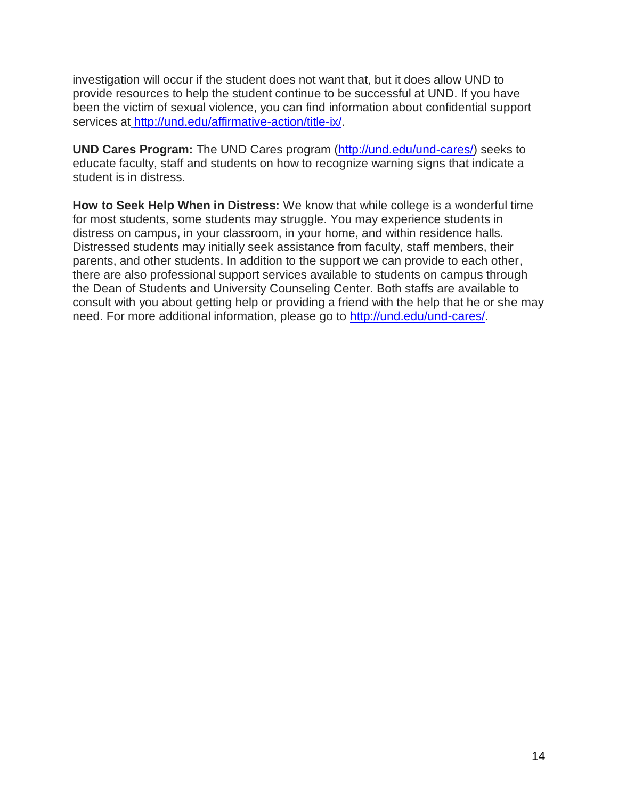investigation will occur if the student does not want that, but it does allow UND to provide resources to help the student continue to be successful at UND. If you have been the victim of sexual violence, you can find information about confidential support services at [http://und.edu/affirmative-action/title-ix/.](http://und.edu/affirmative-action/title-ix/)

**UND Cares Program:** The UND Cares program [\(http://und.edu/und-cares/\)](http://und.edu/und-cares/) seeks to educate faculty, staff and students on how to recognize warning signs that indicate a student is in distress.

**How to Seek Help When in Distress:** We know that while college is a wonderful time for most students, some students may struggle. You may experience students in distress on campus, in your classroom, in your home, and within residence halls. Distressed students may initially seek assistance from faculty, staff members, their parents, and other students. In addition to the support we can provide to each other, there are also professional support services available to students on campus through the Dean of Students and University Counseling Center. Both staffs are available to consult with you about getting help or providing a friend with the help that he or she may need. For more additional information, please go to [http://und.edu/und-cares/.](http://und.edu/und-cares/)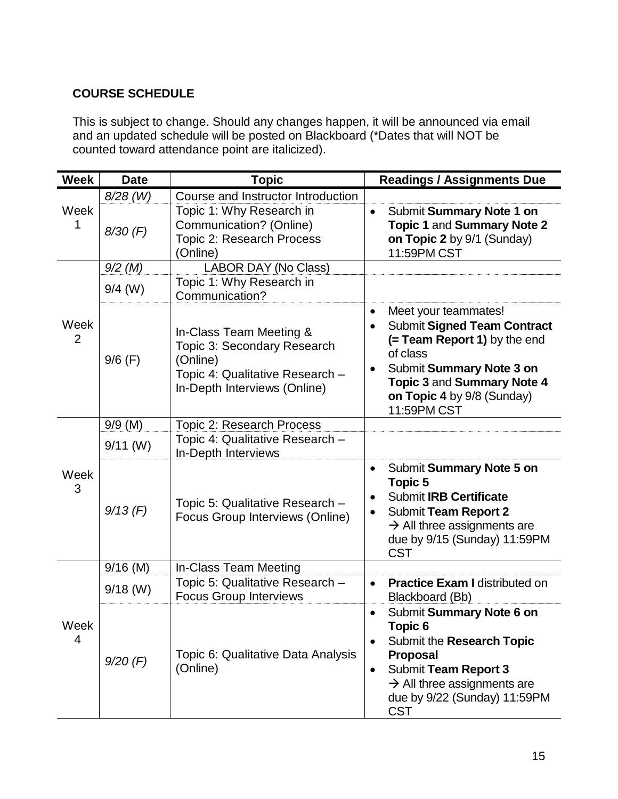# **COURSE SCHEDULE**

This is subject to change. Should any changes happen, it will be announced via email and an updated schedule will be posted on Blackboard (\*Dates that will NOT be counted toward attendance point are italicized).

| <b>Week</b>            | <b>Date</b> | <b>Topic</b>                                                                                                                          | <b>Readings / Assignments Due</b>                                                                                                                                                                                                                   |
|------------------------|-------------|---------------------------------------------------------------------------------------------------------------------------------------|-----------------------------------------------------------------------------------------------------------------------------------------------------------------------------------------------------------------------------------------------------|
| Week<br>1              | $8/28$ (W)  | Course and Instructor Introduction                                                                                                    |                                                                                                                                                                                                                                                     |
|                        | $8/30$ (F)  | Topic 1: Why Research in<br>Communication? (Online)<br>Topic 2: Research Process<br>(Online)                                          | Submit Summary Note 1 on<br>$\bullet$<br><b>Topic 1 and Summary Note 2</b><br>on Topic 2 by 9/1 (Sunday)<br>11:59PM CST                                                                                                                             |
|                        | $9/2$ (M)   | LABOR DAY (No Class)                                                                                                                  |                                                                                                                                                                                                                                                     |
| Week<br>$\overline{2}$ | $9/4$ (W)   | Topic 1: Why Research in<br>Communication?                                                                                            |                                                                                                                                                                                                                                                     |
|                        | $9/6$ (F)   | In-Class Team Meeting &<br>Topic 3: Secondary Research<br>(Online)<br>Topic 4: Qualitative Research -<br>In-Depth Interviews (Online) | Meet your teammates!<br>$\bullet$<br><b>Submit Signed Team Contract</b><br>$\bullet$<br>(= Team Report 1) by the end<br>of class<br>Submit Summary Note 3 on<br>٠<br><b>Topic 3 and Summary Note 4</b><br>on Topic 4 by 9/8 (Sunday)<br>11:59PM CST |
|                        | $9/9$ (M)   | <b>Topic 2: Research Process</b>                                                                                                      |                                                                                                                                                                                                                                                     |
| Week<br>3              | $9/11$ (W)  | Topic 4: Qualitative Research -<br>In-Depth Interviews                                                                                |                                                                                                                                                                                                                                                     |
|                        | $9/13$ (F)  | Topic 5: Qualitative Research -<br>Focus Group Interviews (Online)                                                                    | Submit Summary Note 5 on<br>$\bullet$<br>Topic 5<br><b>Submit IRB Certificate</b><br><b>Submit Team Report 2</b><br>$\bullet$<br>$\rightarrow$ All three assignments are<br>due by 9/15 (Sunday) 11:59PM<br><b>CST</b>                              |
|                        | $9/16$ (M)  | In-Class Team Meeting                                                                                                                 |                                                                                                                                                                                                                                                     |
| Week<br>4              | $9/18$ (W)  | Topic 5: Qualitative Research -<br><b>Focus Group Interviews</b>                                                                      | <b>Practice Exam I distributed on</b><br>$\bullet$<br>Blackboard (Bb)                                                                                                                                                                               |
|                        | $9/20$ (F)  | Topic 6: Qualitative Data Analysis<br>(Online)                                                                                        | Submit Summary Note 6 on<br><b>Topic 6</b><br>Submit the Research Topic<br>$\bullet$<br><b>Proposal</b><br><b>Submit Team Report 3</b><br>$\bullet$<br>$\rightarrow$ All three assignments are<br>due by 9/22 (Sunday) 11:59PM<br><b>CST</b>        |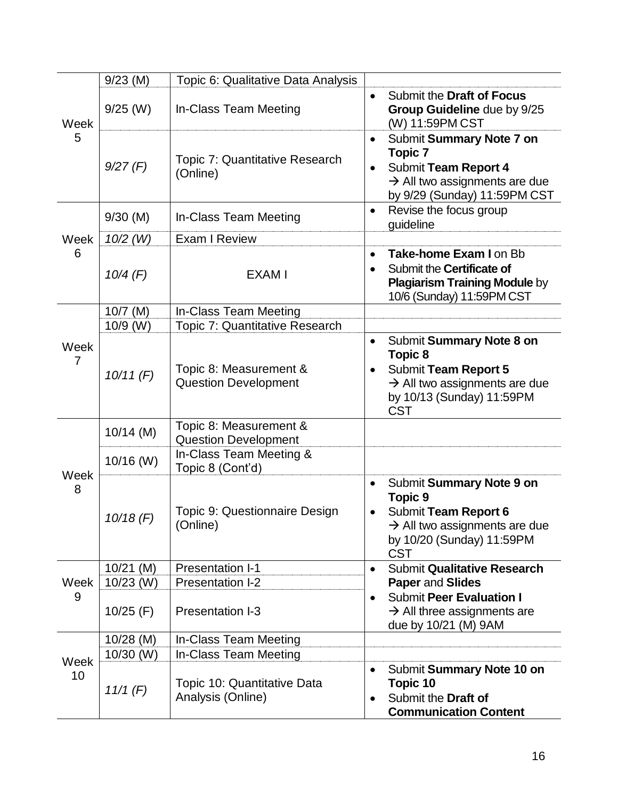|            | $9/23$ (M)  | Topic 6: Qualitative Data Analysis                    |                                                                                                                                                                           |
|------------|-------------|-------------------------------------------------------|---------------------------------------------------------------------------------------------------------------------------------------------------------------------------|
| Week<br>5  | $9/25$ (W)  | In-Class Team Meeting                                 | Submit the Draft of Focus<br>$\bullet$<br>Group Guideline due by 9/25<br>(W) 11:59PM CST                                                                                  |
|            | 9/27(F)     | Topic 7: Quantitative Research<br>(Online)            | Submit Summary Note 7 on<br>$\bullet$<br><b>Topic 7</b><br>Submit Team Report 4<br>$\bullet$<br>$\rightarrow$ All two assignments are due<br>by 9/29 (Sunday) 11:59PM CST |
|            | $9/30$ (M)  | In-Class Team Meeting                                 | Revise the focus group<br>$\bullet$<br>guideline                                                                                                                          |
| Week       | $10/2$ (W)  | Exam I Review                                         |                                                                                                                                                                           |
| 6          | $10/4$ (F)  | <b>EXAMI</b>                                          | Take-home Exam I on Bb<br>$\bullet$<br>Submit the Certificate of<br><b>Plagiarism Training Module by</b><br>10/6 (Sunday) 11:59PM CST                                     |
|            | $10/7$ (M)  | In-Class Team Meeting                                 |                                                                                                                                                                           |
|            | 10/9 (W)    | Topic 7: Quantitative Research                        |                                                                                                                                                                           |
| Week<br>7  | 10/11(F)    | Topic 8: Measurement &<br><b>Question Development</b> | Submit Summary Note 8 on<br>$\bullet$<br>Topic 8<br>Submit Team Report 5<br>$\rightarrow$ All two assignments are due<br>by 10/13 (Sunday) 11:59PM<br><b>CST</b>          |
|            | $10/14$ (M) | Topic 8: Measurement &<br><b>Question Development</b> |                                                                                                                                                                           |
|            | 10/16 (W)   | In-Class Team Meeting &<br>Topic 8 (Cont'd)           |                                                                                                                                                                           |
| Week<br>8  | $10/18$ (F) | Topic 9: Questionnaire Design<br>(Online)             | Submit Summary Note 9 on<br>$\bullet$<br><b>Topic 9</b><br>Submit Team Report 6<br>$\rightarrow$ All two assignments are due<br>by 10/20 (Sunday) 11:59PM<br><b>CST</b>   |
|            | $10/21$ (M) | <b>Presentation I-1</b>                               | <b>Submit Qualitative Research</b><br>$\bullet$                                                                                                                           |
| Week<br>9  | $10/23$ (W) | Presentation I-2                                      | <b>Paper and Slides</b>                                                                                                                                                   |
|            | $10/25$ (F) | <b>Presentation I-3</b>                               | <b>Submit Peer Evaluation I</b><br>$\bullet$<br>$\rightarrow$ All three assignments are<br>due by 10/21 (M) 9AM                                                           |
| Week<br>10 | $10/28$ (M) | In-Class Team Meeting                                 |                                                                                                                                                                           |
|            | $10/30$ (W) | In-Class Team Meeting                                 |                                                                                                                                                                           |
|            | 11/1 (F)    | Topic 10: Quantitative Data<br>Analysis (Online)      | Submit Summary Note 10 on<br>$\bullet$<br>Topic 10<br>Submit the Draft of<br>$\bullet$<br><b>Communication Content</b>                                                    |